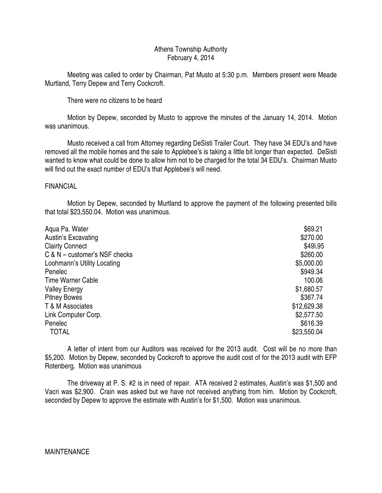## Athens Township Authority February 4, 2014

 Meeting was called to order by Chairman, Pat Musto at 5:30 p.m. Members present were Meade Murtland, Terry Depew and Terry Cockcroft.

There were no citizens to be heard

 Motion by Depew, seconded by Musto to approve the minutes of the January 14, 2014. Motion was unanimous.

 Musto received a call from Attorney regarding DeSisti Trailer Court. They have 34 EDU's and have removed all the mobile homes and the sale to Applebee's is taking a little bit longer than expected. DeSisti wanted to know what could be done to allow him not to be charged for the total 34 EDU's. Chairman Musto will find out the exact number of EDU's that Applebee's will need.

# FINANCIAL

 Motion by Depew, seconded by Murtland to approve the payment of the following presented bills that total \$23,550.04. Motion was unanimous.

| Aqua Pa. Water                  | \$69.21     |
|---------------------------------|-------------|
| Austin's Excavating             | \$270.00    |
| <b>Clairty Connect</b>          | \$491.95    |
| $C & N$ – customer's NSF checks | \$260.00    |
| Loohmann's Utility Locating     | \$5,000.00  |
| Penelec                         | \$949.34    |
| Time Warner Cable               | 100.06      |
| <b>Valley Energy</b>            | \$1,680.57  |
| <b>Pitney Bowes</b>             | \$367.74    |
| T & M Associates                | \$12,629.38 |
| Link Computer Corp.             | \$2,577.50  |
| Penelec                         | \$616.39    |
| <b>TOTAL</b>                    | \$23,550.04 |

 A letter of intent from our Auditors was received for the 2013 audit. Cost will be no more than \$5,200. Motion by Depew, seconded by Cockcroft to approve the audit cost of for the 2013 audit with EFP Rotenberg. Motion was unanimous

 The driveway at P. S. #2 is in need of repair. ATA received 2 estimates, Austin's was \$1,500 and Vacri was \$2,900. Crain was asked but we have not received anything from him. Motion by Cockcroft, seconded by Depew to approve the estimate with Austin's for \$1,500. Motion was unanimous.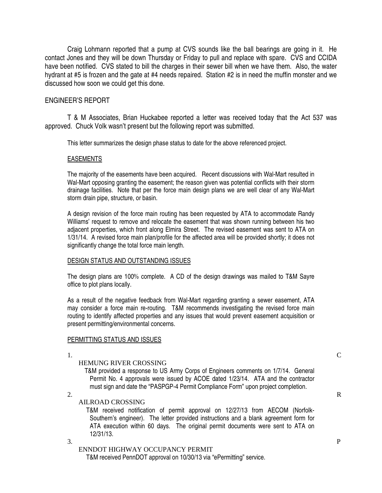Craig Lohmann reported that a pump at CVS sounds like the ball bearings are going in it. He contact Jones and they will be down Thursday or Friday to pull and replace with spare. CVS and CCIDA have been notified. CVS stated to bill the charges in their sewer bill when we have them. Also, the water hydrant at #5 is frozen and the gate at #4 needs repaired. Station #2 is in need the muffin monster and we discussed how soon we could get this done.

## ENGINEER'S REPORT

 T & M Associates, Brian Huckabee reported a letter was received today that the Act 537 was approved. Chuck Volk wasn't present but the following report was submitted.

This letter summarizes the design phase status to date for the above referenced project.

## EASEMENTS

The majority of the easements have been acquired. Recent discussions with Wal-Mart resulted in Wal-Mart opposing granting the easement; the reason given was potential conflicts with their storm drainage facilities. Note that per the force main design plans we are well clear of any Wal-Mart storm drain pipe, structure, or basin.

A design revision of the force main routing has been requested by ATA to accommodate Randy Williams' request to remove and relocate the easement that was shown running between his two adjacent properties, which front along Elmira Street. The revised easement was sent to ATA on 1/31/14. A revised force main plan/profile for the affected area will be provided shortly; it does not significantly change the total force main length.

#### DESIGN STATUS AND OUTSTANDING ISSUES

The design plans are 100% complete. A CD of the design drawings was mailed to T&M Sayre office to plot plans locally.

As a result of the negative feedback from Wal-Mart regarding granting a sewer easement, ATA may consider a force main re-routing. T&M recommends investigating the revised force main routing to identify affected properties and any issues that would prevent easement acquisition or present permitting/environmental concerns.

## PERMITTING STATUS AND ISSUES

## 1. C

HEMUNG RIVER CROSSING

 T&M provided a response to US Army Corps of Engineers comments on 1/7/14. General Permit No. 4 approvals were issued by ACOE dated 1/23/14. ATA and the contractor must sign and date the "PASPGP-4 Permit Compliance Form" upon project completion.

2.  $\blacksquare$ 

## AILROAD CROSSING

 T&M received notification of permit approval on 12/27/13 from AECOM (Norfolk-Southern's engineer). The letter provided instructions and a blank agreement form for ATA execution within 60 days. The original permit documents were sent to ATA on 12/31/13.

 $3.$  P

# ENNDOT HIGHWAY OCCUPANCY PERMIT

T&M received PennDOT approval on 10/30/13 via "ePermitting" service.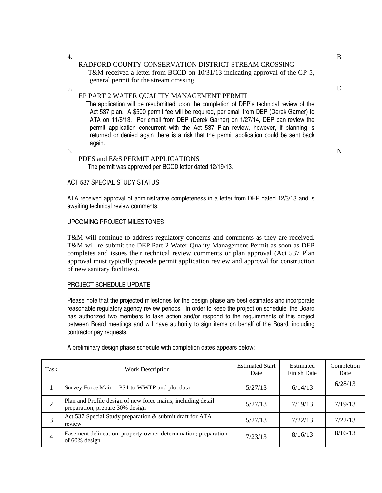### 4. B RADFORD COUNTY CONSERVATION DISTRICT STREAM CROSSING T&M received a letter from BCCD on 10/31/13 indicating approval of the GP-5, general permit for the stream crossing.

 $5.$  D

# EP PART 2 WATER QUALITY MANAGEMENT PERMIT

 The application will be resubmitted upon the completion of DEP's technical review of the Act 537 plan. A \$500 permit fee will be required, per email from DEP (Derek Garner) to ATA on 11/6/13. Per email from DEP (Derek Garner) on 1/27/14, DEP can review the permit application concurrent with the Act 537 Plan review, however, if planning is returned or denied again there is a risk that the permit application could be sent back again.

 $\mathbf{6.}$  N PDES and E&S PERMIT APPLICATIONS The permit was approved per BCCD letter dated 12/19/13.

## ACT 537 SPECIAL STUDY STATUS

ATA received approval of administrative completeness in a letter from DEP dated 12/3/13 and is awaiting technical review comments.

## UPCOMING PROJECT MILESTONES

T&M will continue to address regulatory concerns and comments as they are received. T&M will re-submit the DEP Part 2 Water Quality Management Permit as soon as DEP completes and issues their technical review comments or plan approval (Act 537 Plan approval must typically precede permit application review and approval for construction of new sanitary facilities).

## PROJECT SCHEDULE UPDATE

Please note that the projected milestones for the design phase are best estimates and incorporate reasonable regulatory agency review periods. In order to keep the project on schedule, the Board has authorized two members to take action and/or respond to the requirements of this project between Board meetings and will have authority to sign items on behalf of the Board, including contractor pay requests.

| Task           | <b>Work Description</b>                                                                         | <b>Estimated Start</b><br>Date | Estimated<br><b>Finish Date</b> | Completion<br>Date |
|----------------|-------------------------------------------------------------------------------------------------|--------------------------------|---------------------------------|--------------------|
|                | Survey Force Main – PS1 to WWTP and plot data                                                   | 5/27/13                        | 6/14/13                         | 6/28/13            |
| $\overline{2}$ | Plan and Profile design of new force mains; including detail<br>preparation; prepare 30% design | 5/27/13                        | 7/19/13                         | 7/19/13            |
| 3              | Act 537 Special Study preparation & submit draft for ATA<br>review                              | 5/27/13                        | 7/22/13                         | 7/22/13            |
| 4              | Easement delineation, property owner determination; preparation<br>of 60% design                | 7/23/13                        | 8/16/13                         | 8/16/13            |

A preliminary design phase schedule with completion dates appears below: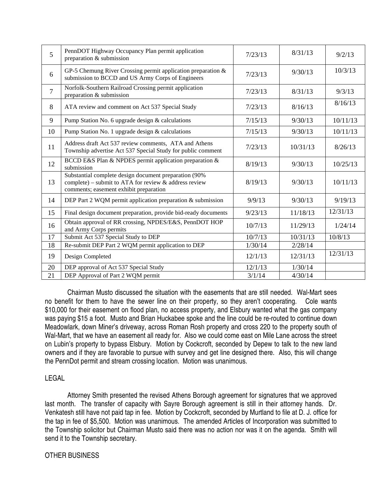| $\overline{5}$  | PennDOT Highway Occupancy Plan permit application<br>preparation & submission                                                                               | 7/23/13 | 8/31/13  | 9/2/13   |
|-----------------|-------------------------------------------------------------------------------------------------------------------------------------------------------------|---------|----------|----------|
| 6               | GP-5 Chemung River Crossing permit application preparation &<br>submission to BCCD and US Army Corps of Engineers                                           | 7/23/13 | 9/30/13  | 10/3/13  |
| $7\phantom{.0}$ | Norfolk-Southern Railroad Crossing permit application<br>preparation & submission                                                                           | 7/23/13 | 8/31/13  | 9/3/13   |
| 8               | ATA review and comment on Act 537 Special Study                                                                                                             | 7/23/13 | 8/16/13  | 8/16/13  |
| 9               | Pump Station No. 6 upgrade design & calculations                                                                                                            | 7/15/13 | 9/30/13  | 10/11/13 |
| 10              | Pump Station No. 1 upgrade design & calculations                                                                                                            | 7/15/13 | 9/30/13  | 10/11/13 |
| 11              | Address draft Act 537 review comments, ATA and Athens<br>Township advertise Act 537 Special Study for public comment                                        | 7/23/13 | 10/31/13 | 8/26/13  |
| 12              | BCCD E&S Plan & NPDES permit application preparation &<br>submission                                                                                        | 8/19/13 | 9/30/13  | 10/25/13 |
| 13              | Substantial complete design document preparation (90%<br>complete) – submit to ATA for review $\&$ address review<br>comments; easement exhibit preparation | 8/19/13 | 9/30/13  | 10/11/13 |
| 14              | DEP Part 2 WQM permit application preparation & submission                                                                                                  | 9/9/13  | 9/30/13  | 9/19/13  |
| 15              | Final design document preparation, provide bid-ready documents                                                                                              | 9/23/13 | 11/18/13 | 12/31/13 |
| 16              | Obtain approval of RR crossing, NPDES/E&S, PennDOT HOP<br>and Army Corps permits                                                                            | 10/7/13 | 11/29/13 | 1/24/14  |
| 17              | Submit Act 537 Special Study to DEP                                                                                                                         | 10/7/13 | 10/31/13 | 10/8/13  |
| 18              | Re-submit DEP Part 2 WQM permit application to DEP                                                                                                          | 1/30/14 | 2/28/14  |          |
| 19              | Design Completed                                                                                                                                            | 12/1/13 | 12/31/13 | 12/31/13 |
| 20              | DEP approval of Act 537 Special Study                                                                                                                       | 12/1/13 | 1/30/14  |          |
| 21              | DEP Approval of Part 2 WQM permit                                                                                                                           | 3/1/14  | 4/30/14  |          |

 Chairman Musto discussed the situation with the easements that are still needed. Wal-Mart sees no benefit for them to have the sewer line on their property, so they aren't cooperating. Cole wants \$10,000 for their easement on flood plan, no access property, and Elsbury wanted what the gas company was paying \$15 a foot. Musto and Brian Huckabee spoke and the line could be re-routed to continue down Meadowlark, down Miner's driveway, across Roman Rosh property and cross 220 to the property south of Wal-Mart, that we have an easement all ready for. Also we could come east on Mile Lane across the street on Lubin's property to bypass Elsbury. Motion by Cockcroft, seconded by Depew to talk to the new land owners and if they are favorable to pursue with survey and get line designed there. Also, this will change the PennDot permit and stream crossing location. Motion was unanimous.

# LEGAL

 Attorney Smith presented the revised Athens Borough agreement for signatures that we approved last month. The transfer of capacity with Sayre Borough agreement is still in their attorney hands. Dr. Venkatesh still have not paid tap in fee. Motion by Cockcroft, seconded by Murtland to file at D. J. office for the tap in fee of \$5,500. Motion was unanimous. The amended Articles of Incorporation was submitted to the Township solicitor but Chairman Musto said there was no action nor was it on the agenda. Smith will send it to the Township secretary.

# OTHER BUSINESS